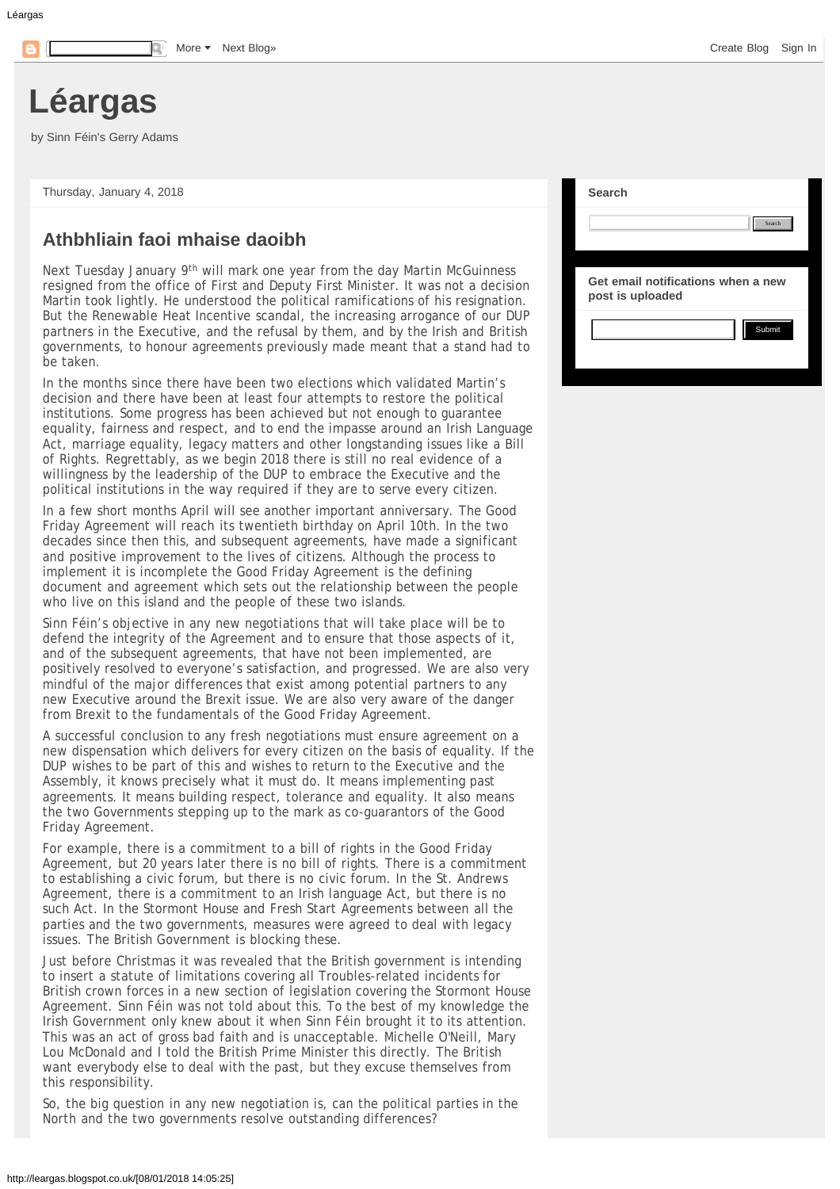## **Léargas**

by Sinn Féin's Gerry Adams

Thursday, January 4, 2018

## **Athbhliain faoi mhaise daoibh**

Next Tuesday January 9<sup>th</sup> will mark one year from the day Martin McGuinness resigned from the office of First and Deputy First Minister. It was not a decision Martin took lightly. He understood the political ramifications of his resignation. But the Renewable Heat Incentive scandal, the increasing arrogance of our DUP partners in the Executive, and the refusal by them, and by the Irish and British governments, to honour agreements previously made meant that a stand had to be taken.

In the months since there have been two elections which validated Martin's decision and there have been at least four attempts to restore the political institutions. Some progress has been achieved but not enough to guarantee equality, fairness and respect, and to end the impasse around an Irish Language Act, marriage equality, legacy matters and other longstanding issues like a Bill of Rights. Regrettably, as we begin 2018 there is still no real evidence of a willingness by the leadership of the DUP to embrace the Executive and the political institutions in the way required if they are to serve every citizen.

In a few short months April will see another important anniversary. The Good Friday Agreement will reach its twentieth birthday on April 10th. In the two decades since then this, and subsequent agreements, have made a significant and positive improvement to the lives of citizens. Although the process to implement it is incomplete the Good Friday Agreement is the defining document and agreement which sets out the relationship between the people who live on this island and the people of these two islands.

Sinn Féin's objective in any new negotiations that will take place will be to defend the integrity of the Agreement and to ensure that those aspects of it, and of the subsequent agreements, that have not been implemented, are positively resolved to everyone's satisfaction, and progressed. We are also very mindful of the major differences that exist among potential partners to any new Executive around the Brexit issue. We are also very aware of the danger from Brexit to the fundamentals of the Good Friday Agreement.

A successful conclusion to any fresh negotiations must ensure agreement on a new dispensation which delivers for every citizen on the basis of equality. If the DUP wishes to be part of this and wishes to return to the Executive and the Assembly, it knows precisely what it must do. It means implementing past agreements. It means building respect, tolerance and equality. It also means the two Governments stepping up to the mark as co-guarantors of the Good Friday Agreement.

For example, there is a commitment to a bill of rights in the Good Friday Agreement, but 20 years later there is no bill of rights. There is a commitment to establishing a civic forum, but there is no civic forum. In the St. Andrews Agreement, there is a commitment to an Irish language Act, but there is no such Act. In the Stormont House and Fresh Start Agreements between all the parties and the two governments, measures were agreed to deal with legacy issues. The British Government is blocking these.

Just before Christmas it was revealed that the British government is intending to insert a statute of limitations covering all Troubles-related incidents for British crown forces in a new section of legislation covering the Stormont House Agreement. Sinn Féin was not told about this. To the best of my knowledge the Irish Government only knew about it when Sinn Féin brought it to its attention. This was an act of gross bad faith and is unacceptable. Michelle O'Neill, Mary Lou McDonald and I told the British Prime Minister this directly. The British want everybody else to deal with the past, but they excuse themselves from this responsibility.

So, the big question in any new negotiation is, can the political parties in the North and the two governments resolve outstanding differences?

| <b>Search</b>                                          |
|--------------------------------------------------------|
| Search                                                 |
| Get email notifications when a new<br>post is uploaded |
| Submit                                                 |